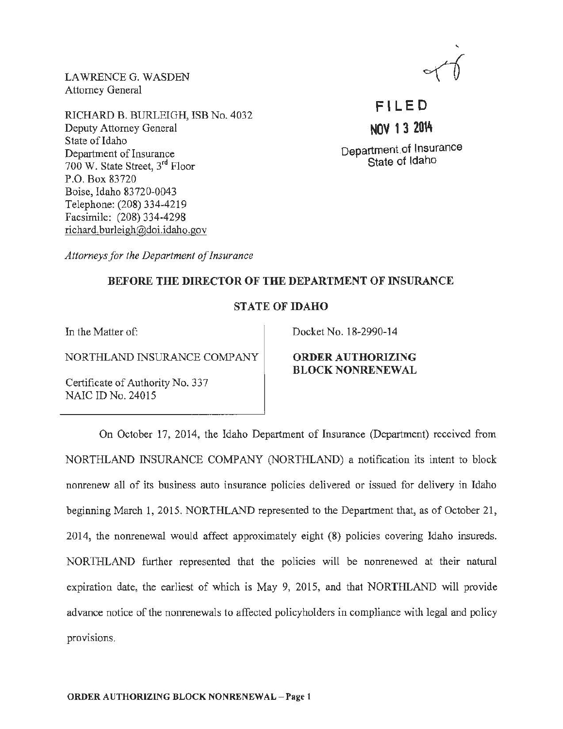LAWRENCE G. WASDEN Attorney General

RJCHARD B. BURLEIGH, ISB No. 4032 Deputy Attorney General State of Idaho Department of Insurance 700 W. State Street, 3rd Floor P.O. Box 83720 Boise, Idaho 83720-0043 Telephone: (208) 334-4219 Facsimile: (208) 334-4298 richard. burleigh@doi.idaho.gov



**Fl LED NOV 13 20Vt**  Department.of Insurance

State of Idaho

*Attorneys for the Department of Insurance* 

## BEFORE THE DIRECTOR OF THE DEPARTMENT OF INSURANCE

## STATE OF IDAHO

NORTHLAND INSURANCE COMPANY **ORDER AUTHORIZING** 

Certificate of Authority No. 337 NAIC ID No. 24015

In the Matter of: Docket No. 18-2990-14

BLOCK NONRENEWAL

On October 17, 2014, the Idaho Department of Insurance (Department) received from NORTHLAND INSURANCE COMPANY (NORTHLAND) a notification its intent to block nonrenew all of its business auto insurance policies delivered or issued for delivery in Idaho beginning March 1, 2015. NORTHLAND represented to the Department that, as of October 21, 2014, the nonrenewal would affect approximately eight (8) policies covering Idaho insureds. NORTHLAND further represented that the policies will be nonrenewed at their natural expiration date, the earliest of which is May 9, 2015, and that NORTHLAND will provide advance notice of the nonrenewals to affected policyholders in compliance with legal and policy provisions.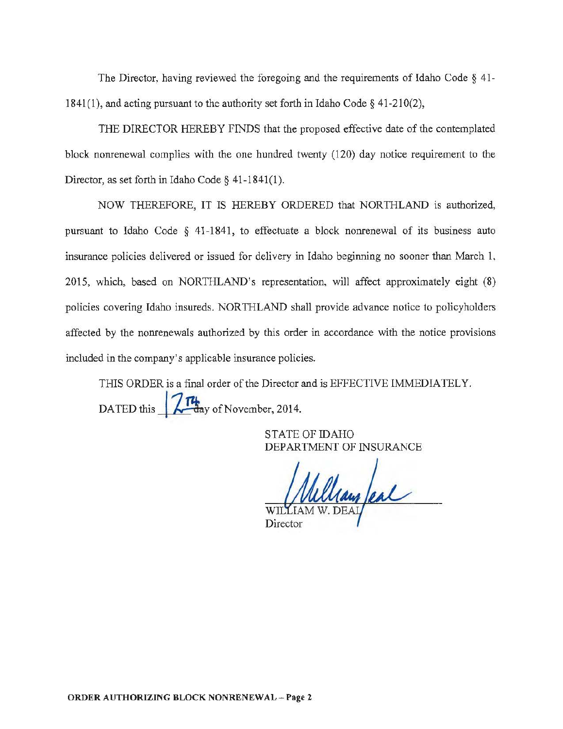The Director, having reviewed the foregoing and the requirements of Idaho Code § 41- 1841(1), and acting pursuant to the authority set forth in Idaho Code § 41-210(2),

THE DIRECTOR HEREBY FINDS that the proposed effective date of the contemplated block nonrenewal complies with the one hundred twenty ( 120) day notice requirement to the Director, as set forth in Idaho Code § 41-1841(1).

NOW THEREFORE, IT IS HEREBY ORDERED that NORTIILAND is authorized, pursuant to Idaho Code *§* 41-1841, to effectuate a block nonrenewal of its business auto insurance policies delivered or issued for delivery in Idaho beginning no sooner than March 1. 2015, which, based on NORTHLAND's representation, will affect approximately eight (8) policies covering Idaho insureds. NOR TIILAND shall provide advance notice to policyholders affected by the nonrenewals authorized by this order in accordance with the notice provisions included in the company's applicable insurance policies.

THIS ORDER is a final order of the Director and is EFFECTIVE IMMEDIATELY. DATED this  $\sqrt{\frac{14}{\text{day}}}$  of November, 2014.

> STATE OF IDAHO DEPARTMENT OF INSURANCE

William Peal

**Director**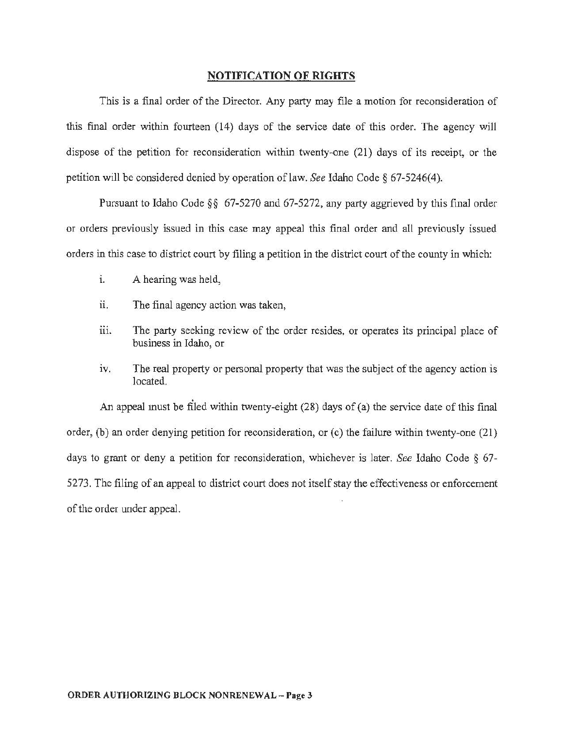## NOTIFICATION OF RIGHTS

This is a final order of the Director. Any party may file a motion for reconsideration of this final order within fourteen (14) days of the service date of this order. The agency will dispose of the petition for reconsideration within twenty-one (21) days of its receipt, or the petition will be considered denied by operation of law. *See* Idaho Code § 67 -5246( 4 ).

Pursuant to Idaho Code *§§* 67-5270 and 67-5272, any party aggrieved by this final order or orders previously issued in this case may appeal this final order and all previously issued orders in this case to district court by filing a petition in the district court of the county in which:

- 1. A hearing was held,
- ii. The final agency action was taken,
- iii. The party seeking review of the order resides, or operates its principal place of business in Idaho, or
- iv. The real property or personal property that was the subject of the agency action is located.

An appeal must be filed within twenty-eight (28) days of (a) the service date of this final order, (b) an order denying petition for reconsideration, or (c) the failure within twenty-one (21) days to grant or deny a petition for reconsideration, whichever is later. *See* Idaho Code § 67- 5273. The filing of an appeal to district court does not itself stay the effectiveness or enforcement of the order under appeal.